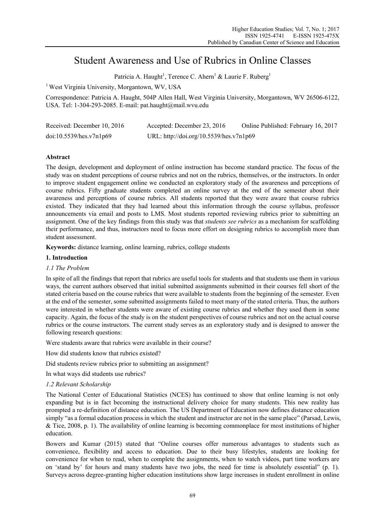# Student Awareness and Use of Rubrics in Online Classes

Patricia A. Haught<sup>1</sup>, Terence C. Ahern<sup>1</sup> & Laurie F. Ruberg<sup>1</sup>

<sup>1</sup> West Virginia University, Morgantown, WV, USA

Correspondence: Patricia A. Haught, 504P Allen Hall, West Virginia University, Morgantown, WV 26506-6122, USA. Tel: 1-304-293-2085. E-mail: pat.haught@mail.wvu.edu

| Received: December 10, 2016 | Accepted: December 23, 2016             | Online Published: February 16, 2017 |
|-----------------------------|-----------------------------------------|-------------------------------------|
| doi:10.5539/hes.v7n1p69     | URL: http://doi.org/10.5539/hes.v7n1p69 |                                     |

## **Abstract**

The design, development and deployment of online instruction has become standard practice. The focus of the study was on student perceptions of course rubrics and not on the rubrics, themselves, or the instructors. In order to improve student engagement online we conducted an exploratory study of the awareness and perceptions of course rubrics. Fifty graduate students completed an online survey at the end of the semester about their awareness and perceptions of course rubrics. All students reported that they were aware that course rubrics existed. They indicated that they had learned about this information through the course syllabus, professor announcements via email and posts to LMS. Most students reported reviewing rubrics prior to submitting an assignment. One of the key findings from this study was that *students see rubrics* as a mechanism for scaffolding their performance, and thus, instructors need to focus more effort on designing rubrics to accomplish more than student assessment.

**Keywords:** distance learning, online learning, rubrics, college students

# **1. Introduction**

## *1.1 The Problem*

In spite of all the findings that report that rubrics are useful tools for students and that students use them in various ways, the current authors observed that initial submitted assignments submitted in their courses fell short of the stated criteria based on the course rubrics that were available to students from the beginning of the semester. Even at the end of the semester, some submitted assignments failed to meet many of the stated criteria. Thus, the authors were interested in whether students were aware of existing course rubrics and whether they used them in some capacity. Again, the focus of the study is on the student perspectives of course rubrics and not on the actual course rubrics or the course instructors. The current study serves as an exploratory study and is designed to answer the following research questions:

Were students aware that rubrics were available in their course?

How did students know that rubrics existed?

Did students review rubrics prior to submitting an assignment?

In what ways did students use rubrics?

## *1.2 Relevant Scholarship*

The National Center of Educational Statistics (NCES) has continued to show that online learning is not only expanding but is in fact becoming the instructional delivery choice for many students. This new reality has prompted a re-definition of distance education. The US Department of Education now defines distance education simply "as a formal education process in which the student and instructor are not in the same place" (Parsad, Lewis, & Tice, 2008, p. 1). The availability of online learning is becoming commonplace for most institutions of higher education.

Bowers and Kumar (2015) stated that "Online courses offer numerous advantages to students such as convenience, flexibility and access to education. Due to their busy lifestyles, students are looking for convenience for when to read, when to complete the assignments, when to watch videos, part time workers are on 'stand by' for hours and many students have two jobs, the need for time is absolutely essential" (p. 1). Surveys across degree-granting higher education institutions show large increases in student enrollment in online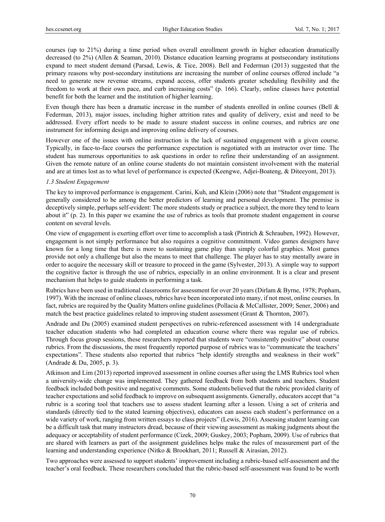courses (up to 21%) during a time period when overall enrollment growth in higher education dramatically decreased (to 2%) (Allen & Seaman, 2010). Distance education learning programs at postsecondary institutions expand to meet student demand (Parsad, Lewis, & Tice, 2008). Bell and Federman (2013) suggested that the primary reasons why post-secondary institutions are increasing the number of online courses offered include "a need to generate new revenue streams, expand access, offer students greater scheduling flexibility and the freedom to work at their own pace, and curb increasing costs" (p. 166). Clearly, online classes have potential benefit for both the learner and the institution of higher learning.

Even though there has been a dramatic increase in the number of students enrolled in online courses (Bell & Federman, 2013), major issues, including higher attrition rates and quality of delivery, exist and need to be addressed. Every effort needs to be made to assure student success in online courses, and rubrics are one instrument for informing design and improving online delivery of courses.

However one of the issues with online instruction is the lack of sustained engagement with a given course. Typically, in face-to-face courses the performance expectation is negotiated with an instructor over time. The student has numerous opportunities to ask questions in order to refine their understanding of an assignment. Given the remote nature of an online course students do not maintain consistent involvement with the material and are at times lost as to what level of performance is expected (Keengwe, Adjei-Boateng, & Diteeyont, 2013).

#### *1.3 Student Engagement*

The key to improved performance is engagement. Carini, Kuh, and Klein (2006) note that "Student engagement is generally considered to be among the better predictors of learning and personal development. The premise is deceptively simple, perhaps self-evident: The more students study or practice a subject, the more they tend to learn about it" (p. 2). In this paper we examine the use of rubrics as tools that promote student engagement in course content on several levels.

One view of engagement is exerting effort over time to accomplish a task (Pintrich & Schrauben, 1992). However, engagement is not simply performance but also requires a cognitive commitment. Video games designers have known for a long time that there is more to sustaining game play than simply colorful graphics. Most games provide not only a challenge but also the means to meet that challenge. The player has to stay mentally aware in order to acquire the necessary skill or treasure to proceed in the game (Sylvester, 2013). A simple way to support the cognitive factor is through the use of rubrics, especially in an online environment. It is a clear and present mechanism that helps to guide students in performing a task.

Rubrics have been used in traditional classrooms for assessment for over 20 years (Dirlam & Byrne, 1978; Popham, 1997). With the increase of online classes, rubrics have been incorporated into many, if not most, online courses. In fact, rubrics are required by the Quality Matters online guidelines (Pollacia & McCallister, 2009; Sener, 2006) and match the best practice guidelines related to improving student assessment (Grant & Thornton, 2007).

Andrade and Du (2005) examined student perspectives on rubric-referenced assessment with 14 undergraduate teacher education students who had completed an education course where there was regular use of rubrics. Through focus group sessions, these researchers reported that students were "consistently positive" about course rubrics. From the discussions, the most frequently reported purpose of rubrics was to "communicate the teachers' expectations". These students also reported that rubrics "help identify strengths and weakness in their work" (Andrade & Du, 2005, p. 3).

Atkinson and Lim (2013) reported improved assessment in online courses after using the LMS Rubrics tool when a university-wide change was implemented. They gathered feedback from both students and teachers. Student feedback included both positive and negative comments. Some students believed that the rubric provided clarity of teacher expectations and solid feedback to improve on subsequent assignments. Generally, educators accept that "a rubric is a scoring tool that teachers use to assess student learning after a lesson. Using a set of criteria and standards (directly tied to the stated learning objectives), educators can assess each student's performance on a wide variety of work, ranging from written essays to class projects" (Lewis, 2016). Assessing student learning can be a difficult task that many instructors dread, because of their viewing assessment as making judgments about the adequacy or acceptability of student performance (Cizek, 2009; Guskey, 2003; Popham, 2009). Use of rubrics that are shared with learners as part of the assignment guidelines helps make the rules of measurement part of the learning and understanding experience (Nitko & Brookhart, 2011; Russell & Airasian, 2012).

Two approaches were assessed to support students' improvement including a rubric-based self-assessment and the teacher's oral feedback. These researchers concluded that the rubric-based self-assessment was found to be worth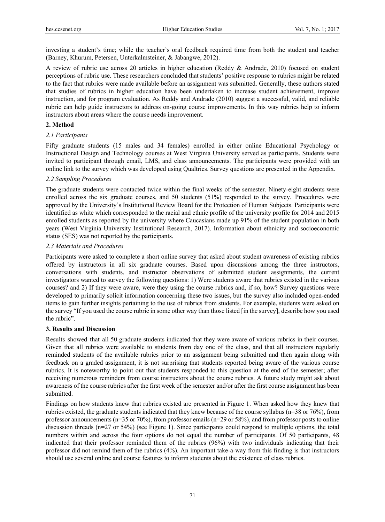investing a student's time; while the teacher's oral feedback required time from both the student and teacher (Barney, Khurum, Petersen, Unterkalmsteiner, & Jabangwe, 2012).

A review of rubric use across 20 articles in higher education (Reddy & Andrade, 2010) focused on student perceptions of rubric use. These researchers concluded that students' positive response to rubrics might be related to the fact that rubrics were made available before an assignment was submitted. Generally, these authors stated that studies of rubrics in higher education have been undertaken to increase student achievement, improve instruction, and for program evaluation. As Reddy and Andrade (2010) suggest a successful, valid, and reliable rubric can help guide instructors to address on-going course improvements. In this way rubrics help to inform instructors about areas where the course needs improvement.

### **2. Method**

### *2.1 Participants*

Fifty graduate students (15 males and 34 females) enrolled in either online Educational Psychology or Instructional Design and Technology courses at West Virginia University served as participants. Students were invited to participant through email, LMS, and class announcements. The participants were provided with an online link to the survey which was developed using Qualtrics. Survey questions are presented in the Appendix.

#### *2.2 Sampling Procedures*

The graduate students were contacted twice within the final weeks of the semester. Ninety-eight students were enrolled across the six graduate courses, and 50 students (51%) responded to the survey. Procedures were approved by the University's Institutional Review Board for the Protection of Human Subjects. Participants were identified as white which corresponded to the racial and ethnic profile of the university profile for 2014 and 2015 enrolled students as reported by the university where Caucasians made up 91% of the student population in both years (West Virginia University Institutional Research, 2017). Information about ethnicity and socioeconomic status (SES) was not reported by the participants.

#### *2.3 Materials and Procedures*

Participants were asked to complete a short online survey that asked about student awareness of existing rubrics offered by instructors in all six graduate courses. Based upon discussions among the three instructors, conversations with students, and instructor observations of submitted student assignments, the current investigators wanted to survey the following questions: 1) Were students aware that rubrics existed in the various courses? and 2) If they were aware, were they using the course rubrics and, if so, how? Survey questions were developed to primarily solicit information concerning these two issues, but the survey also included open-ended items to gain further insights pertaining to the use of rubrics from students. For example, students were asked on the survey "If you used the course rubric in some other way than those listed [in the survey], describe how you used the rubric".

## **3. Results and Discussion**

Results showed that all 50 graduate students indicated that they were aware of various rubrics in their courses. Given that all rubrics were available to students from day one of the class, and that all instructors regularly reminded students of the available rubrics prior to an assignment being submitted and then again along with feedback on a graded assignment, it is not surprising that students reported being aware of the various course rubrics. It is noteworthy to point out that students responded to this question at the end of the semester; after receiving numerous reminders from course instructors about the course rubrics. A future study might ask about awareness of the course rubrics after the first week of the semester and/or after the first course assignment has been submitted.

Findings on how students knew that rubrics existed are presented in Figure 1. When asked how they knew that rubrics existed, the graduate students indicated that they knew because of the course syllabus (n=38 or 76%), from professor announcements (n=35 or 70%), from professor emails (n=29 or 58%), and from professor posts to online discussion threads (n=27 or 54%) (see Figure 1). Since participants could respond to multiple options, the total numbers within and across the four options do not equal the number of participants. Of 50 participants, 48 indicated that their professor reminded them of the rubrics (96%) with two individuals indicating that their professor did not remind them of the rubrics (4%). An important take-a-way from this finding is that instructors should use several online and course features to inform students about the existence of class rubrics.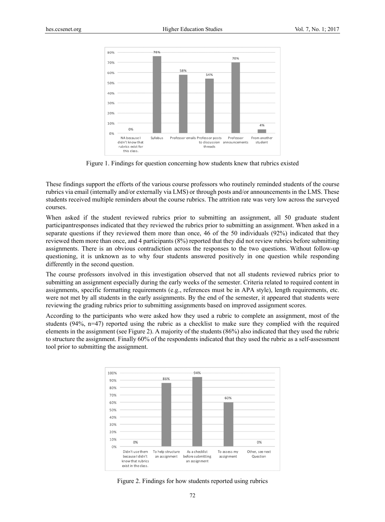

Figure 1. Findings for question concerning how students knew that rubrics existed

These findings support the efforts of the various course professors who routinely reminded students of the course rubrics via email (internally and/or externally via LMS) or through posts and/or announcements in the LMS. These students received multiple reminders about the course rubrics. The attrition rate was very low across the surveyed courses.

When asked if the student reviewed rubrics prior to submitting an assignment, all 50 graduate student participantresponses indicated that they reviewed the rubrics prior to submitting an assignment. When asked in a separate questions if they reviewed them more than once, 46 of the 50 individuals (92%) indicated that they reviewed them more than once, and 4 participants (8%) reported that they did not review rubrics before submitting assignments. There is an obvious contradiction across the responses to the two questions. Without follow-up questioning, it is unknown as to why four students answered positively in one question while responding differently in the second question.

The course professors involved in this investigation observed that not all students reviewed rubrics prior to submitting an assignment especially during the early weeks of the semester. Criteria related to required content in assignments, specific formatting requirements (e.g., references must be in APA style), length requirements, etc. were not met by all students in the early assignments. By the end of the semester, it appeared that students were reviewing the grading rubrics prior to submitting assignments based on improved assignment scores.

According to the participants who were asked how they used a rubric to complete an assignment, most of the students (94%, n=47) reported using the rubric as a checklist to make sure they complied with the required elements in the assignment (see Figure 2). A majority of the students (86%) also indicated that they used the rubric to structure the assignment. Finally 60% of the respondents indicated that they used the rubric as a self-assessment tool prior to submitting the assignment.



Figure 2. Findings for how students reported using rubrics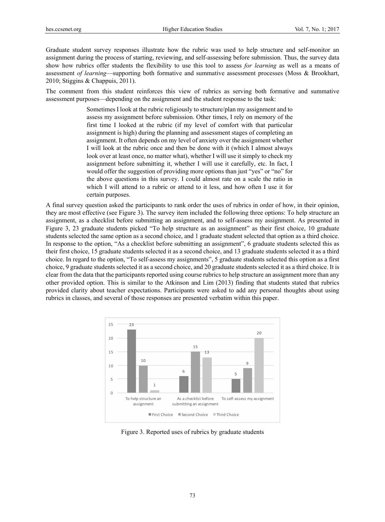Graduate student survey responses illustrate how the rubric was used to help structure and self-monitor an assignment during the process of starting, reviewing, and self-assessing before submission. Thus, the survey data show how rubrics offer students the flexibility to use this tool to assess *for learning* as well as a means of assessment *of learning*—supporting both formative and summative assessment processes (Moss & Brookhart, 2010; Stiggins & Chappuis, 2011).

The comment from this student reinforces this view of rubrics as serving both formative and summative assessment purposes—depending on the assignment and the student response to the task:

> Sometimes I look at the rubric religiously to structure/plan my assignment and to assess my assignment before submission. Other times, I rely on memory of the first time I looked at the rubric (if my level of comfort with that particular assignment is high) during the planning and assessment stages of completing an assignment. It often depends on my level of anxiety over the assignment whether I will look at the rubric once and then be done with it (which I almost always look over at least once, no matter what), whether I will use it simply to check my assignment before submitting it, whether I will use it carefully, etc. In fact, I would offer the suggestion of providing more options than just "yes" or "no" for the above questions in this survey. I could almost rate on a scale the ratio in which I will attend to a rubric or attend to it less, and how often I use it for certain purposes.

A final survey question asked the participants to rank order the uses of rubrics in order of how, in their opinion, they are most effective (see Figure 3). The survey item included the following three options: To help structure an assignment, as a checklist before submitting an assignment, and to self-assess my assignment. As presented in Figure 3, 23 graduate students picked "To help structure as an assignment" as their first choice, 10 graduate students selected the same option as a second choice, and 1 graduate student selected that option as a third choice. In response to the option, "As a checklist before submitting an assignment", 6 graduate students selected this as their first choice, 15 graduate students selected it as a second choice, and 13 graduate students selected it as a third choice. In regard to the option, "To self-assess my assignments", 5 graduate students selected this option as a first choice, 9 graduate students selected it as a second choice, and 20 graduate students selected it as a third choice. It is clear from the data that the participants reported using course rubrics to help structure an assignment more than any other provided option. This is similar to the Atkinson and Lim (2013) finding that students stated that rubrics provided clarity about teacher expectations. Participants were asked to add any personal thoughts about using rubrics in classes, and several of those responses are presented verbatim within this paper.



Figure 3. Reported uses of rubrics by graduate students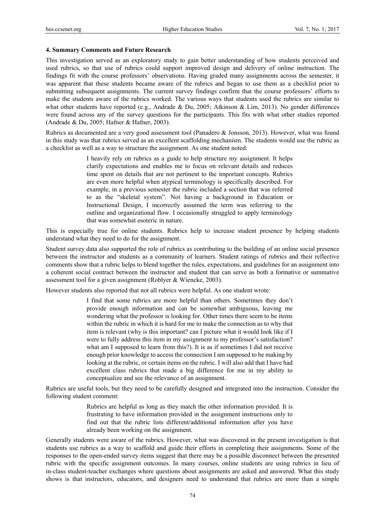#### **4. Summary Comments and Future Research**

This investigation served as an exploratory study to gain better understanding of how students perceived and used rubrics, so that use of rubrics could support improved design and delivery of online instruction. The findings fit with the course professors' observations. Having graded many assignments across the semester, it was apparent that these students became aware of the rubrics and began to use them as a checklist prior to submitting subsequent assignments. The current survey findings confirm that the course professors' efforts to make the students aware of the rubrics worked. The various ways that students used the rubrics are similar to what other students have reported (e.g., Andrade & Du, 2005; Atkinson & Lim, 2013). No gender differences were found across any of the survey questions for the participants. This fits with what other studies reported (Andrade & Du, 2005; Hafner & Hafner, 2003).

Rubrics as documented are a very good assessment tool (Panadero & Jonsson, 2013). However, what was found in this study was that rubrics served as an excellent scaffolding mechanism. The students would use the rubric as a checklist as well as a way to structure the assignment. As one student noted:

> I heavily rely on rubrics as a guide to help structure my assignment. It helps clarify expectations and enables me to focus on relevant details and reduces time spent on details that are not pertinent to the important concepts. Rubrics are even more helpful when atypical terminology is specifically described. For example, in a previous semester the rubric included a section that was referred to as the "skeletal system". Not having a background in Education or Instructional Design, I incorrectly assumed the term was referring to the outline and organizational flow. I occasionally struggled to apply terminology that was somewhat esoteric in nature.

This is especially true for online students. Rubrics help to increase student presence by helping students understand what they need to do for the assignment.

Student survey data also supported the role of rubrics as contributing to the building of an online social presence between the instructor and students as a community of learners. Student ratings of rubrics and their reflective comments show that a rubric helps to blend together the rules, expectations, and guidelines for an assignment into a coherent social contract between the instructor and student that can serve as both a formative or summative assessment tool for a given assignment (Roblyer & Wiencke, 2003).

However students also reported that not all rubrics were helpful. As one student wrote:

I find that some rubrics are more helpful than others. Sometimes they don't provide enough information and can be somewhat ambiguous, leaving me wondering what the professor is looking for. Other times there seem to be items within the rubric in which it is hard for me to make the connection as to why that item is relevant (why is this important? can I picture what it would look like if I were to fully address this item in my assignment to my professor's satisfaction? what am I supposed to learn from this?). It is as if sometimes I did not receive enough prior knowledge to access the connection I am supposed to be making by looking at the rubric, or certain items on the rubric. I will also add that I have had excellent class rubrics that made a big difference for me in my ability to conceptualize and see the relevance of an assignment.

Rubrics are useful tools, but they need to be carefully designed and integrated into the instruction. Consider the following student comment:

> Rubrics are helpful as long as they match the other information provided. It is frustrating to have information provided in the assignment instructions only to find out that the rubric lists different/additional information after you have already been working on the assignment.

Generally students were aware of the rubrics. However, what was discovered in the present investigation is that students use rubrics as a way to scaffold and guide their efforts in completing their assignments. Some of the responses to the open-ended survey items suggest that there may be a possible disconnect between the presented rubric with the specific assignment outcomes. In many courses, online students are using rubrics in lieu of in-class student-teacher exchanges where questions about assignments are asked and answered. What this study shows is that instructors, educators, and designers need to understand that rubrics are more than a simple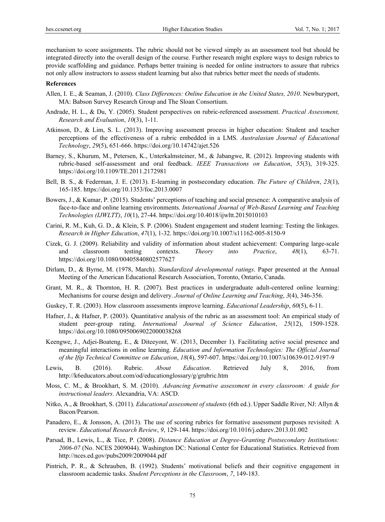mechanism to score assignments. The rubric should not be viewed simply as an assessment tool but should be integrated directly into the overall design of the course. Further research might explore ways to design rubrics to provide scaffolding and guidance. Perhaps better training is needed for online instructors to assure that rubrics not only allow instructors to assess student learning but also that rubrics better meet the needs of students.

#### **References**

- Allen, I. E., & Seaman, J. (2010). *Class Differences: Online Education in the United States, 2010*. Newburyport, MA: Babson Survey Research Group and The Sloan Consortium.
- Andrade, H. L., & Du, Y. (2005). Student perspectives on rubric-referenced assessment. *Practical Assessment, Research and Evaluation*, *10*(3), 1-11.
- Atkinson, D., & Lim, S. L. (2013). Improving assessment process in higher education: Student and teacher perceptions of the effectiveness of a rubric embedded in a LMS. *Australasian Journal of Educational Technology*, *29*(5), 651-666. https://doi.org/10.14742/ajet.526
- Barney, S., Khurum, M., Petersen, K., Unterkalmsteiner, M., & Jabangwe, R. (2012). Improving students with rubric-based self-assessment and oral feedback. *IEEE Transactions on Education*, *55*(3), 319-325. https://doi.org/10.1109/TE.2011.2172981
- Bell, B. S., & Federman, J. E. (2013). E-learning in postsecondary education. *The Future of Children*, *23*(1), 165-185. https://doi.org/10.1353/foc.2013.0007
- Bowers, J., & Kumar, P. (2015). Students' perceptions of teaching and social presence: A comparative analysis of face-to-face and online learning environments. *International Journal of Web-Based Learning and Teaching Technologies (IJWLTT)*, *10*(1), 27-44. https://doi.org/10.4018/ijwltt.2015010103
- Carini, R. M., Kuh, G. D., & Klein, S. P. (2006). Student engagement and student learning: Testing the linkages. *Research in Higher Education*, *47*(1), 1-32. https://doi.org/10.1007/s11162-005-8150-9
- Cizek, G. J. (2009). Reliability and validity of information about student achievement: Comparing large-scale and classroom testing contexts. *Theory into Practice*, *48*(1), 63-71. https://doi.org/10.1080/00405840802577627
- Dirlam, D., & Byrne, M. (1978, March). *Standardized developmental ratings*. Paper presented at the Annual Meeting of the American Educational Research Association, Toronto, Ontario, Canada.
- Grant, M. R., & Thornton, H. R. (2007). Best practices in undergraduate adult-centered online learning: Mechanisms for course design and delivery. *Journal of Online Learning and Teaching*, *3*(4), 346-356.
- Guskey, T. R. (2003). How classroom assessments improve learning. *Educational Leadership*, *60*(5), 6-11.
- Hafner, J., & Hafner, P. (2003). Quantitative analysis of the rubric as an assessment tool: An empirical study of student peer-group rating. *International Journal of Science Education*, *25*(12), 1509-1528. https://doi.org/10.1080/0950069022000038268
- Keengwe, J., Adjei-Boateng, E., & Diteeyont, W. (2013, December 1). Facilitating active social presence and meaningful interactions in online learning. *Education and Information Technologies: The Official Journal of the Ifip Technical Committee on Education*, *18*(4), 597-607. https://doi.org/10.1007/s10639-012-9197-9
- Lewis, B. (2016). Rubric. *About Education*. Retrieved July 8, 2016, from http://k6educators.about.com/od/educationglossary/g/grubric.htm
- Moss, C. M., & Brookhart, S. M. (2010). *Advancing formative assessment in every classroom: A guide for instructional leaders*. Alexandria, VA: ASCD.
- Nitko, A., & Brookhart, S. (2011). *Educational assessment of students* (6th ed.). Upper Saddle River, NJ: Allyn & Bacon/Pearson.
- Panadero, E., & Jonsson, A. (2013). The use of scoring rubrics for formative assessment purposes revisited: A review. *Educational Research Review*, *9*, 129-144. https://doi.org/10.1016/j.edurev.2013.01.002
- Parsad, B., Lewis, L., & Tice, P. (2008). *Distance Education at Degree-Granting Postsecondary Institutions: 2006-07* (No. NCES 2009044). Washington DC: National Center for Educational Statistics. Retrieved from http://nces.ed.gov/pubs2009/2009044.pdf
- Pintrich, P. R., & Schrauben, B. (1992). Students' motivational beliefs and their cognitive engagement in classroom academic tasks. *Student Perceptions in the Classroom*, *7*, 149-183.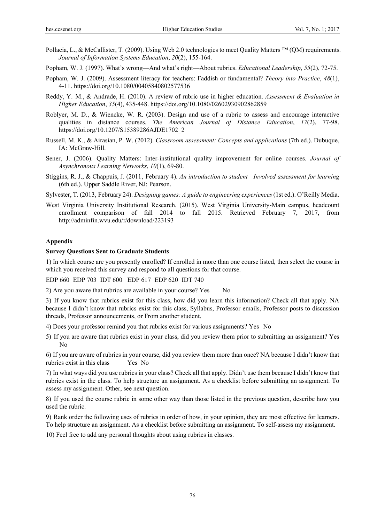- Pollacia, L., & McCallister, T. (2009). Using Web 2.0 technologies to meet Quality Matters <sup>™</sup> (QM) requirements. *Journal of Information Systems Education*, *20*(2), 155-164.
- Popham, W. J. (1997). What's wrong—And what's right—About rubrics. *Educational Leadership*, *55*(2), 72-75.
- Popham, W. J. (2009). Assessment literacy for teachers: Faddish or fundamental? *Theory into Practice*, *48*(1), 4-11. https://doi.org/10.1080/00405840802577536
- Reddy, Y. M., & Andrade, H. (2010). A review of rubric use in higher education. *Assessment & Evaluation in Higher Education*, *35*(4), 435-448. https://doi.org/10.1080/02602930902862859
- Roblyer, M. D., & Wiencke, W. R. (2003). Design and use of a rubric to assess and encourage interactive qualities in distance courses. *The American Journal of Distance Education*, *17*(2), 77-98. https://doi.org/10.1207/S15389286AJDE1702\_2
- Russell, M. K., & Airasian, P. W. (2012). *Classroom assessment: Concepts and applications* (7th ed.). Dubuque, IA: McGraw-Hill.
- Sener, J. (2006). Quality Matters: Inter-institutional quality improvement for online courses. *Journal of Asynchronous Learning Networks*, *10*(1), 69-80.
- Stiggins, R. J., & Chappuis, J. (2011, February 4). *An introduction to student—Involved assessment for learning* (6th ed.). Upper Saddle River, NJ: Pearson.
- Sylvester, T. (2013, February 24). *Designing games: A guide to engineering experiences* (1st ed.). O'Reilly Media.
- West Virginia University Institutional Research. (2015). West Virginia University-Main campus, headcount enrollment comparison of fall 2014 to fall 2015. Retrieved February 7, 2017, from http://adminfin.wvu.edu/r/download/223193

#### **Appendix**

### **Survey Questions Sent to Graduate Students**

1) In which course are you presently enrolled? If enrolled in more than one course listed, then select the course in which you received this survey and respond to all questions for that course.

EDP 660 EDP 703 IDT 600 EDP 617 EDP 620 IDT 740

2) Are you aware that rubrics are available in your course? Yes No

3) If you know that rubrics exist for this class, how did you learn this information? Check all that apply. NA because I didn't know that rubrics exist for this class, Syllabus, Professor emails, Professor posts to discussion threads, Professor announcements, or From another student.

- 4) Does your professor remind you that rubrics exist for various assignments? Yes No
- 5) If you are aware that rubrics exist in your class, did you review them prior to submitting an assignment? Yes No

6) If you are aware of rubrics in your course, did you review them more than once? NA because I didn't know that rubrics exist in this class Yes No

7) In what ways did you use rubrics in your class? Check all that apply. Didn't use them because I didn't know that rubrics exist in the class. To help structure an assignment. As a checklist before submitting an assignment. To assess my assignment. Other, see next question.

8) If you used the course rubric in some other way than those listed in the previous question, describe how you used the rubric.

9) Rank order the following uses of rubrics in order of how, in your opinion, they are most effective for learners. To help structure an assignment. As a checklist before submitting an assignment. To self-assess my assignment.

10) Feel free to add any personal thoughts about using rubrics in classes.

76